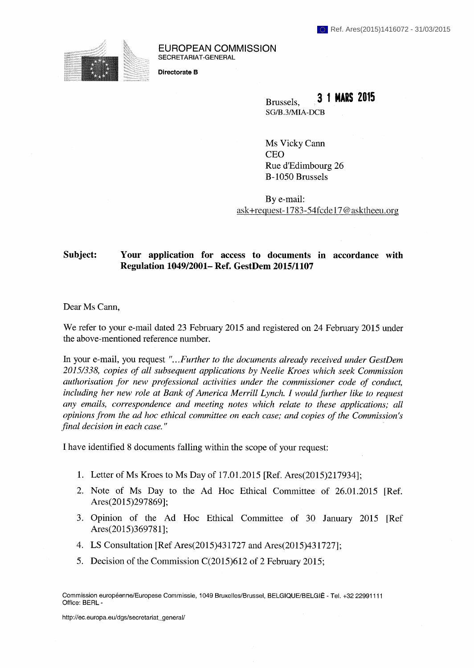

**EUROPEAN COMMISSION**  SECRETARIAT-GENERAL

**Directorate В** 

Brussels, **3 1 MARS 2015**  SG/B.3/MIA-DCB

Ms Vicky Cann CEO Rue d'Edimbourg 26 В-1050 Brussels

By e-mail: ask+request-1783-54fcde 17 @ asktheeu.org

## **Subject: Your application for access to documents in accordance with Regulation 1049/2001- Ref. GestDem 2015/1107**

Dear Ms Cann,

We refer to your e-mail dated 23 February 2015 and registered on 24 February 2015 under the above-mentioned reference number.

In your e-mail, you request *"...Further to the documents already received under GestDem 2015/338, copies of all subsequent applications by Neelie Kroes which seek Commission authorisation for new professional activities under the commissioner code of conduct, including her new role at Bank of America Merrill Lynch. I would further like to request any emails, correspondence and meeting notes which relate to these applications; all opinions from the ad hoc ethical committee on each case; and copies of the Commission's final decision in each case. "* 

I have identified 8 documents falling within the scope of your request:

- 1. Letter of Ms Kroes to Ms Day of 17.01.2015 [Ref. Ares(2015)217934];
- 2. Note of Ms Day to the Ad Hoc Ethical Committee of 26.01.2015 [Ref. Ares(2015)297869];
- 3. Opinion of the Ad Hoc Ethical Committee of 30 January 2015 [Ref Ares(2015)369781];
- 4. LS Consultation [Ref Ares(2015)431727 and Ares(2015)431727];
- 5. Decision of the Commission C(2015)612 of 2 February 2015;

Commission européenne/Europese Commissie, 1049 Bruxelles/Brussel, BELGIQUE/BELGIË - Tel. +32 22991111 Office: BERL -

http://ec.europa.eu/dgs/secretariat\_general/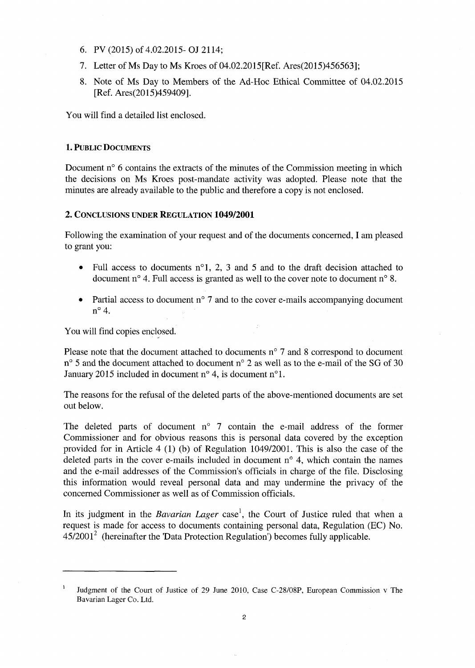- 6. PV (2015) of 4.02.2015- **OJ** 2114;
- 7. Letter of Ms Day to Ms Kroes of 04.02.2015[Ref. Ares(2015)456563];
- 8. Note of Ms Day to Members of the Ad-Нос Ethical Committee of 04.02.2015 [Ref. Ares(2015)459409].

You will find a detailed list enclosed.

## **1. PUBLIC DOCUMENTS**

Document n<sup>o</sup> 6 contains the extracts of the minutes of the Commission meeting in which the decisions on Ms Kroes post-mandate activity was adopted. Please note that the minutes are already available to the public and therefore a copy is not enclosed.

## **2. CONCLUSIONS UNDER REGULATION 1049/2001**

Following the examination of your request and of the documents concerned, I am pleased to grant you:

- Full access to documents  $n^{\circ}1$ , 2, 3 and 5 and to the draft decision attached to document n° 4. Full access is granted as well to the cover note to document n° 8.
- Partial access to document n° 7 and to the cover e-mails accompanying document n <sup>0</sup>4.

You will find copies enclosed.

Please note that the document attached to documents  $n^{\circ}$  7 and 8 correspond to document n<sup>o</sup> 5 and the document attached to document n<sup>o</sup> 2 as well as to the e-mail of the SG of 30 January 2015 included in document  $n^{\circ}$  4, is document  $n^{\circ}$ 1.

The reasons for the refusal of the deleted parts of the above-mentioned documents are set out below.

The deleted parts of document  $n^{\circ}$  7 contain the e-mail address of the former Commissioner and for obvious reasons this is personal data covered by the exception provided for in Article 4 (1) (b) of Regulation 1049/2001. This is also the case of the deleted parts in the cover e-mails included in document  $n^{\circ}$  4, which contain the names and the e-mail addresses of the Commission's officials in charge of the file. Disclosing this information would reveal personal data and may undermine the privacy of the concerned Commissioner as well as of Commission officials.

In its judgment in the *Bavarian Lager* case<sup>1</sup>, the Court of Justice ruled that when a request is made for access to documents containing personal data. Regulation (EC) No.  $45/2001<sup>2</sup>$  (hereinafter the 'Data Protection Regulation') becomes fully applicable.

<sup>1</sup>Judgment of the Court of Justice of 29 June 2010, Case C-28/08P, European Commission v The Bavarian Lager Co. Ltd.